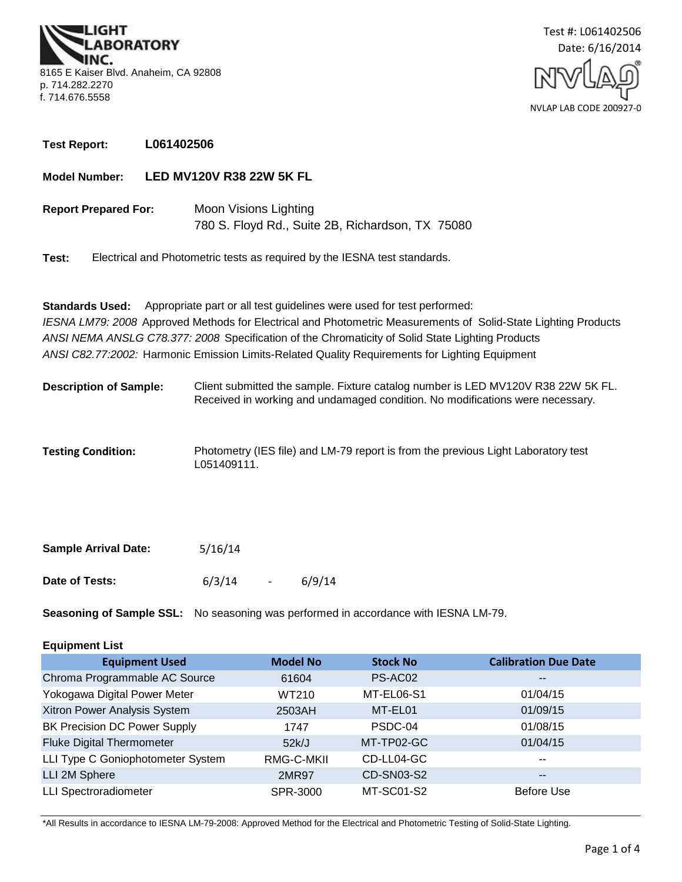**3ORATORY** 8165 E Kaiser Blvd. Anaheim, CA 92808 p. 714.282.2270 f. 714.676.5558



**Test Report: L061402506**

**Model Number: LED MV120V R38 22W 5K FL**

780 S. Floyd Rd., Suite 2B, Richardson, TX 75080 **Report Prepared For:** Moon Visions Lighting

**Test:** Electrical and Photometric tests as required by the IESNA test standards.

*ANSI C82.77:2002:* Harmonic Emission Limits-Related Quality Requirements for Lighting Equipment **Standards Used:** Appropriate part or all test guidelines were used for test performed: *IESNA LM79: 2008* Approved Methods for Electrical and Photometric Measurements of Solid-State Lighting Products *ANSI NEMA ANSLG C78.377: 2008* Specification of the Chromaticity of Solid State Lighting Products

Client submitted the sample. Fixture catalog number is LED MV120V R38 22W 5K FL. Received in working and undamaged condition. No modifications were necessary. **Description of Sample:**

Photometry (IES file) and LM-79 report is from the previous Light Laboratory test L051409111. **Testing Condition:**

| <b>Sample Arrival Date:</b> | 5/16/14 |        |
|-----------------------------|---------|--------|
| Date of Tests:              | 6/3/14  | 6/9/14 |

**Seasoning of Sample SSL:** No seasoning was performed in accordance with IESNA LM-79.

| <b>Equipment List</b> |  |
|-----------------------|--|
|-----------------------|--|

| <b>Equipment Used</b>               | <b>Model No</b> | <b>Stock No</b> | <b>Calibration Due Date</b> |
|-------------------------------------|-----------------|-----------------|-----------------------------|
| Chroma Programmable AC Source       | 61604           | PS-AC02         | $\overline{\phantom{m}}$    |
| Yokogawa Digital Power Meter        | WT210           | MT-EL06-S1      | 01/04/15                    |
| Xitron Power Analysis System        | 2503AH          | MT-EL01         | 01/09/15                    |
| <b>BK Precision DC Power Supply</b> | 1747            | PSDC-04         | 01/08/15                    |
| <b>Fluke Digital Thermometer</b>    | 52k/J           | MT-TP02-GC      | 01/04/15                    |
| LLI Type C Goniophotometer System   | RMG-C-MKII      | CD-LL04-GC      | $\sim$ $\sim$               |
| LLI 2M Sphere                       | <b>2MR97</b>    | CD-SN03-S2      | $\overline{\phantom{m}}$    |
| <b>LLI Spectroradiometer</b>        | SPR-3000        | MT-SC01-S2      | Before Use                  |

\*All Results in accordance to IESNA LM-79-2008: Approved Method for the Electrical and Photometric Testing of Solid-State Lighting.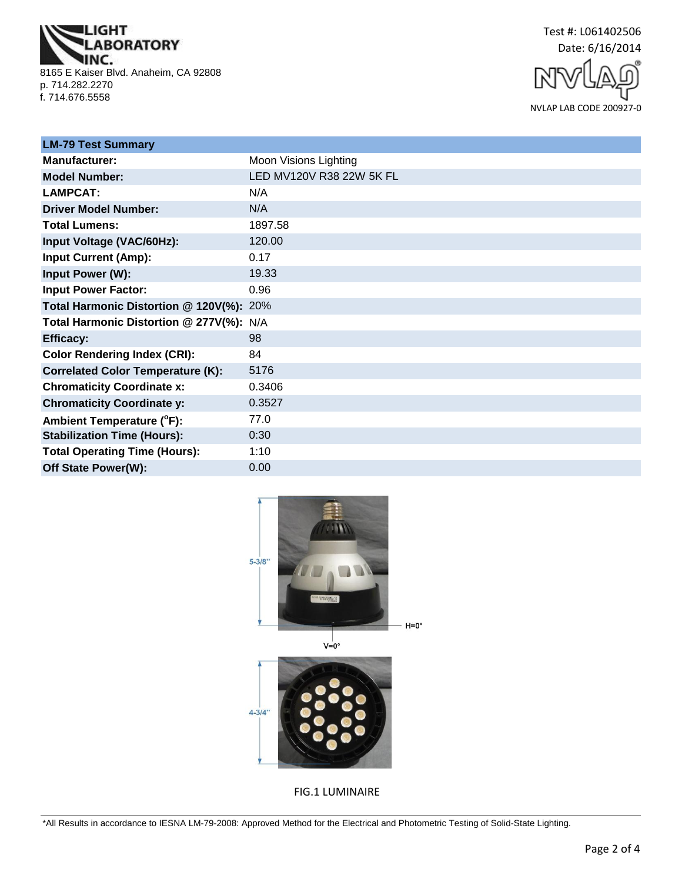**IGHT IBORATORY** NC. 8165 E Kaiser Blvd. Anaheim, CA 92808 p. 714.282.2270 f. 714.676.5558





| <b>LM-79 Test Summary</b>                |                          |
|------------------------------------------|--------------------------|
| <b>Manufacturer:</b>                     | Moon Visions Lighting    |
| <b>Model Number:</b>                     | LED MV120V R38 22W 5K FL |
| <b>LAMPCAT:</b>                          | N/A                      |
| <b>Driver Model Number:</b>              | N/A                      |
| <b>Total Lumens:</b>                     | 1897.58                  |
| Input Voltage (VAC/60Hz):                | 120.00                   |
| <b>Input Current (Amp):</b>              | 0.17                     |
| Input Power (W):                         | 19.33                    |
| <b>Input Power Factor:</b>               | 0.96                     |
| Total Harmonic Distortion @ 120V(%): 20% |                          |
| Total Harmonic Distortion @ 277V(%): N/A |                          |
| <b>Efficacy:</b>                         | 98                       |
| <b>Color Rendering Index (CRI):</b>      | 84                       |
| <b>Correlated Color Temperature (K):</b> | 5176                     |
| <b>Chromaticity Coordinate x:</b>        | 0.3406                   |
| <b>Chromaticity Coordinate y:</b>        | 0.3527                   |
| Ambient Temperature (°F):                | 77.0                     |
| <b>Stabilization Time (Hours):</b>       | 0:30                     |
| <b>Total Operating Time (Hours):</b>     | 1:10                     |
| Off State Power(W):                      | 0.00                     |



FIG.1 LUMINAIRE

\*All Results in accordance to IESNA LM-79-2008: Approved Method for the Electrical and Photometric Testing of Solid-State Lighting.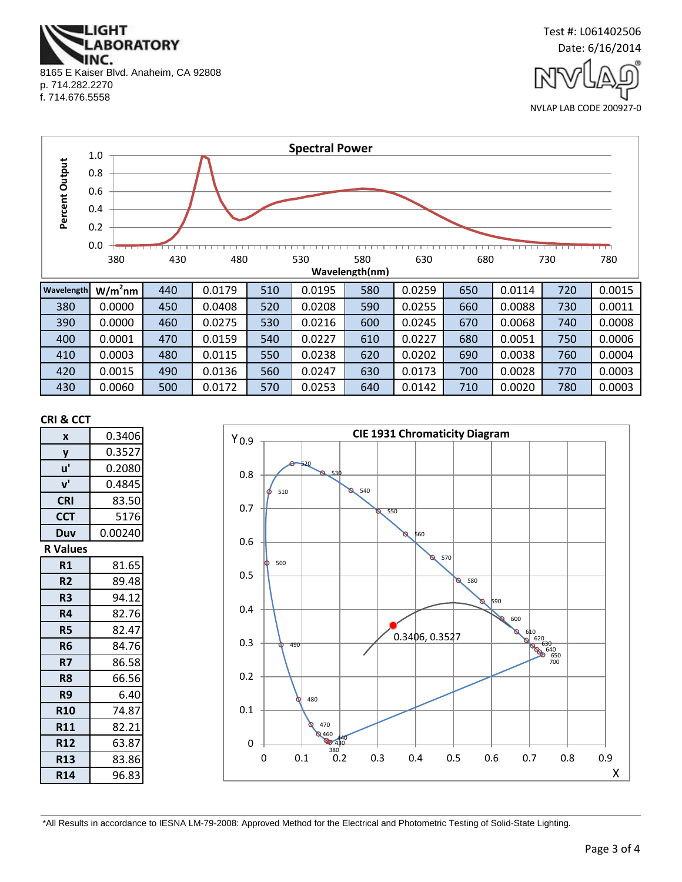**IGHT ABORATORY** NC. 8165 E Kaiser Blvd. Anaheim, CA 92808 p. 714.282.2270 f. 714.676.5558



NVLAP LAB CODE 200927-0



| JUV | v.vvv  | ℸ◡  | v.v <del>.</del> vv | しムい | 0.0200 | ししい |        | vvv | v.vvv  | , JU | ◡.◡◡∸  |
|-----|--------|-----|---------------------|-----|--------|-----|--------|-----|--------|------|--------|
| 390 | 0.0000 | 460 | 0.0275              | 530 | 0.0216 | 600 | 0.0245 | 670 | 0.0068 | 740  | 0.0008 |
| 400 | 0.0001 | 470 | 0.0159              | 540 | 0.0227 | 610 | 0.0227 | 680 | 0.0051 | 750  | 0.0006 |
| 410 | 0.0003 | 480 | 0.0115              | 550 | 0.0238 | 620 | 0.0202 | 690 | 0.0038 | 760  | 0.0004 |
| 420 | 0.0015 | 490 | 0.0136              | 560 | 0.0247 | 630 | 0.0173 | 700 | 0.0028 | 770  | 0.0003 |
| 430 | 0.0060 | 500 | 0.0172              | 570 | 0.0253 | 640 | 0.0142 | 710 | 0.0020 | 780  | 0.0003 |

#### **CRI & CCT**

| X               | 0.3406  |  |  |  |
|-----------------|---------|--|--|--|
| y               | 0.3527  |  |  |  |
| u'              | 0.2080  |  |  |  |
| ${\bf v}'$      | 0.4845  |  |  |  |
| <b>CRI</b>      | 83.50   |  |  |  |
| <b>CCT</b>      | 5176    |  |  |  |
| Duv             | 0.00240 |  |  |  |
| <b>R</b> Values |         |  |  |  |
| R1              | 81.65   |  |  |  |
| R <sub>2</sub>  | 89.48   |  |  |  |
| R <sub>3</sub>  | 94.12   |  |  |  |
| R4              | 82.76   |  |  |  |
| R5              | 82.47   |  |  |  |
| R6              | 84.76   |  |  |  |
| R7              | 86.58   |  |  |  |
| R <sub>8</sub>  | 66.56   |  |  |  |
| R9              | 6.40    |  |  |  |
| <b>R10</b>      | 74.87   |  |  |  |
| <b>R11</b>      | 82.21   |  |  |  |
| <b>R12</b>      | 63.87   |  |  |  |
| <b>R13</b>      | 83.86   |  |  |  |
| R14             | 96.83   |  |  |  |



\*All Results in accordance to IESNA LM-79-2008: Approved Method for the Electrical and Photometric Testing of Solid-State Lighting.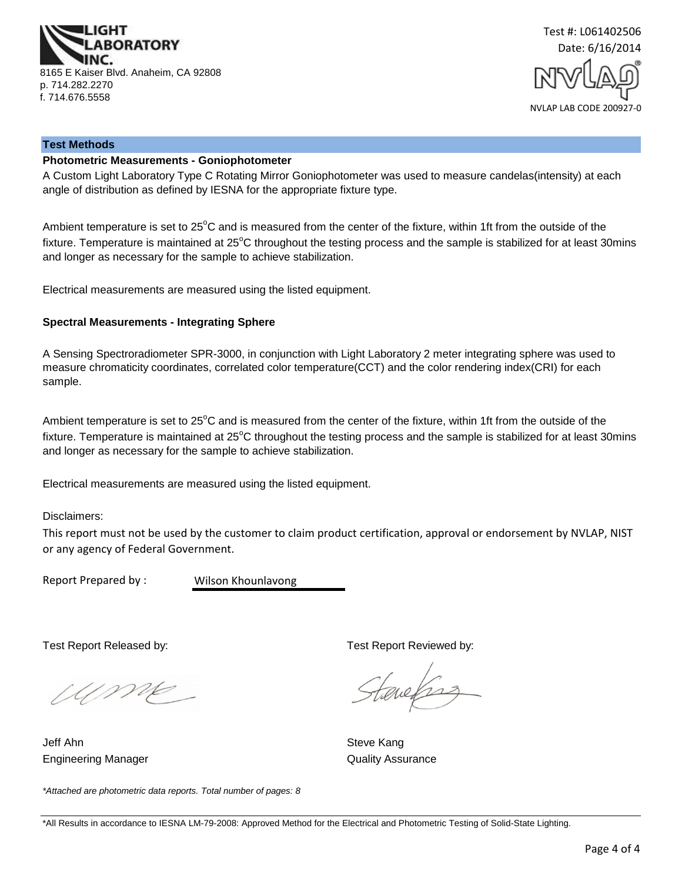



#### **Test Methods**

#### **Photometric Measurements - Goniophotometer**

A Custom Light Laboratory Type C Rotating Mirror Goniophotometer was used to measure candelas(intensity) at each angle of distribution as defined by IESNA for the appropriate fixture type.

Ambient temperature is set to 25°C and is measured from the center of the fixture, within 1ft from the outside of the fixture. Temperature is maintained at  $25^{\circ}$ C throughout the testing process and the sample is stabilized for at least 30mins and longer as necessary for the sample to achieve stabilization.

Electrical measurements are measured using the listed equipment.

#### **Spectral Measurements - Integrating Sphere**

A Sensing Spectroradiometer SPR-3000, in conjunction with Light Laboratory 2 meter integrating sphere was used to measure chromaticity coordinates, correlated color temperature(CCT) and the color rendering index(CRI) for each sample.

Ambient temperature is set to  $25^{\circ}$ C and is measured from the center of the fixture, within 1ft from the outside of the fixture. Temperature is maintained at  $25^{\circ}$ C throughout the testing process and the sample is stabilized for at least 30mins and longer as necessary for the sample to achieve stabilization.

Electrical measurements are measured using the listed equipment.

Disclaimers:

This report must not be used by the customer to claim product certification, approval or endorsement by NVLAP, NIST or any agency of Federal Government.

Report Prepared by :

Wilson Khounlavong

Ump -

Engineering Manager **Contract Contract Contract Contract Contract Contract Contract Contract Contract Contract Contract Contract Contract Contract Contract Contract Contract Contract Contract Contract Contract Contract Con** Jeff Ahn Steve Kang

Test Report Released by: Test Report Reviewed by:

tenefrag

*\*Attached are photometric data reports. Total number of pages: 8*

<sup>\*</sup>All Results in accordance to IESNA LM-79-2008: Approved Method for the Electrical and Photometric Testing of Solid-State Lighting.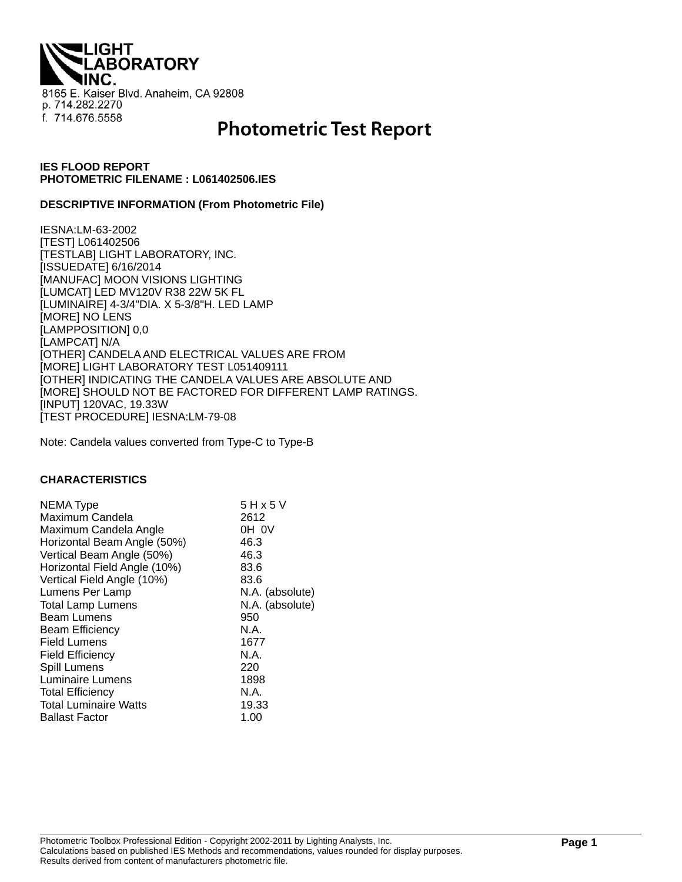**THQI. ABORATORY** 8165 E. Kaiser Blvd. Anaheim, CA 92808 p. 714.282.2270 f. 714.676.5558

# **Photometric Test Report**

# **IES FLOOD REPORT PHOTOMETRIC FILENAME : L061402506.IES**

## **DESCRIPTIVE INFORMATION (From Photometric File)**

IESNA:LM-63-2002 [TEST] L061402506 [TESTLAB] LIGHT LABORATORY, INC. [ISSUEDATE] 6/16/2014 [MANUFAC] MOON VISIONS LIGHTING [LUMCAT] LED MV120V R38 22W 5K FL [LUMINAIRE] 4-3/4"DIA. X 5-3/8"H. LED LAMP [MORE] NO LENS [LAMPPOSITION] 0,0 [LAMPCAT] N/A [OTHER] CANDELA AND ELECTRICAL VALUES ARE FROM [MORE] LIGHT LABORATORY TEST L051409111 [OTHER] INDICATING THE CANDELA VALUES ARE ABSOLUTE AND [MORE] SHOULD NOT BE FACTORED FOR DIFFERENT LAMP RATINGS. [INPUT] 120VAC, 19.33W [TEST PROCEDURE] IESNA:LM-79-08

Note: Candela values converted from Type-C to Type-B

#### **CHARACTERISTICS**

| NEMA Type<br>Maximum Candela<br>Maximum Candela Angle<br>Horizontal Beam Angle (50%) | 5 H x 5 V<br>2612<br>OH OV<br>46.3 |
|--------------------------------------------------------------------------------------|------------------------------------|
| Vertical Beam Angle (50%)                                                            | 46.3                               |
| Horizontal Field Angle (10%)                                                         | 83.6                               |
| Vertical Field Angle (10%)                                                           | 83.6                               |
| Lumens Per Lamp                                                                      | N.A. (absolute)                    |
| <b>Total Lamp Lumens</b>                                                             | N.A. (absolute)                    |
| <b>Beam Lumens</b>                                                                   | 950                                |
| <b>Beam Efficiency</b>                                                               | N.A.                               |
| <b>Field Lumens</b>                                                                  | 1677                               |
| <b>Field Efficiency</b>                                                              | N.A.                               |
| Spill Lumens                                                                         | 220                                |
| <b>Luminaire Lumens</b>                                                              | 1898                               |
| <b>Total Efficiency</b>                                                              | N.A.                               |
| <b>Total Luminaire Watts</b>                                                         | 19.33                              |
| <b>Ballast Factor</b>                                                                | 1.00                               |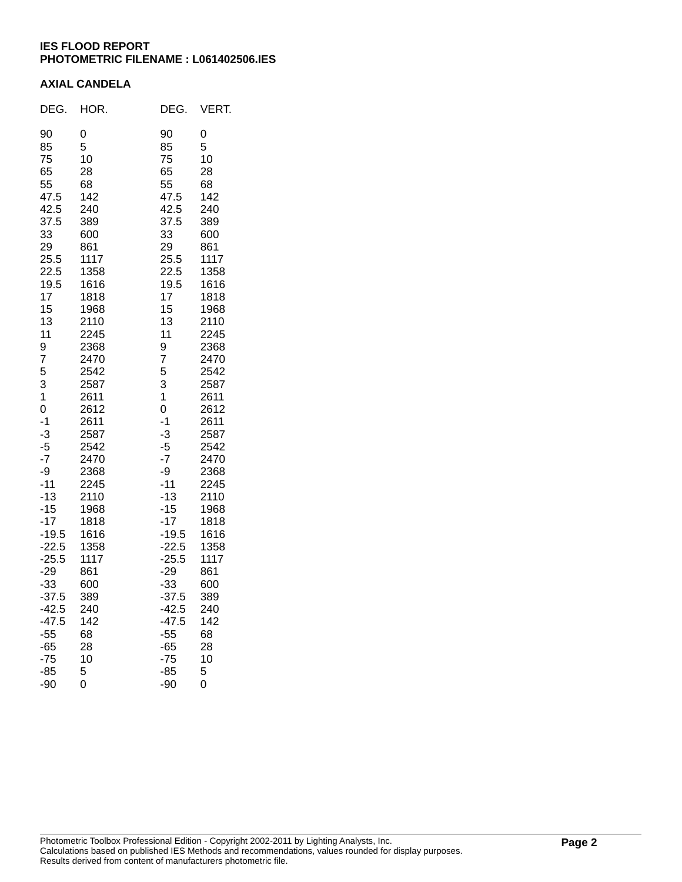# **IES FLOOD REPORT PHOTOMETRIC FILENAME : L061402506.IES**

# **AXIAL CANDELA**

| DEG.                                                                                                                                                                                                                                                                                                              | HOR.                                                                                                                                                                                                                                                                                                         | DEG.                                                                                                                                                                                                                                                                                                                          | VERT.                                                                                                                                                                                                                                                                                                        |
|-------------------------------------------------------------------------------------------------------------------------------------------------------------------------------------------------------------------------------------------------------------------------------------------------------------------|--------------------------------------------------------------------------------------------------------------------------------------------------------------------------------------------------------------------------------------------------------------------------------------------------------------|-------------------------------------------------------------------------------------------------------------------------------------------------------------------------------------------------------------------------------------------------------------------------------------------------------------------------------|--------------------------------------------------------------------------------------------------------------------------------------------------------------------------------------------------------------------------------------------------------------------------------------------------------------|
| 90<br>85<br>75<br>65<br>55<br>47.5<br>42.5<br>37.5<br>33<br>29<br>25.5<br>22.5<br>19.5<br>17<br>15<br>13<br>11<br>9<br>7<br>5<br>3<br>1<br>0<br>$-1$<br>$-3$<br>$-5$<br>$-7$<br>-9<br>$-11$<br>$-13$<br>$-15$<br>$-17$<br>$-19.5$<br>$-22.5$<br>$-25.5$<br>$-29$<br>$-33$<br>$-37.5$<br>-42.5<br>$-47.5$<br>$-55$ | 0<br>5<br>10<br>28<br>68<br>142<br>240<br>389<br>600<br>861<br>1117<br>1358<br>1616<br>1818<br>1968<br>2110<br>2245<br>2368<br>2470<br>2542<br>2587<br>2611<br>2612<br>2611<br>2587<br>2542<br>2470<br>2368<br>2245<br>2110<br>1968<br>1818<br>1616<br>1358<br>1117<br>861<br>600<br>389<br>240<br>142<br>68 | 90<br>85<br>75<br>65<br>55<br>47.5<br>42.5<br>37.5<br>33<br>29<br>25.5<br>22.5<br>19.5<br>17<br>15<br>13<br>11<br>9<br>7<br>5<br>3<br>$\mathbf 1$<br>0<br>$-1$<br>$-3$<br>$-5$<br>$-7$<br>-9<br>$-11$<br>$-13$<br>$-15$<br>$-17$<br>$-19.5$<br>$-22.5$<br>$-25.5$<br>$-29$<br>$-33$<br>$-37.5$<br>$-42.5$<br>$-47.5$<br>$-55$ | 0<br>5<br>10<br>28<br>68<br>142<br>240<br>389<br>600<br>861<br>1117<br>1358<br>1616<br>1818<br>1968<br>2110<br>2245<br>2368<br>2470<br>2542<br>2587<br>2611<br>2612<br>2611<br>2587<br>2542<br>2470<br>2368<br>2245<br>2110<br>1968<br>1818<br>1616<br>1358<br>1117<br>861<br>600<br>389<br>240<br>142<br>68 |
| $-65$<br>$-75$<br>$-85$                                                                                                                                                                                                                                                                                           | 28<br>10<br>5                                                                                                                                                                                                                                                                                                | $-65$<br>$-75$<br>$-85$                                                                                                                                                                                                                                                                                                       | 28<br>10<br>5                                                                                                                                                                                                                                                                                                |
| -90                                                                                                                                                                                                                                                                                                               | 0                                                                                                                                                                                                                                                                                                            | -90                                                                                                                                                                                                                                                                                                                           | 0                                                                                                                                                                                                                                                                                                            |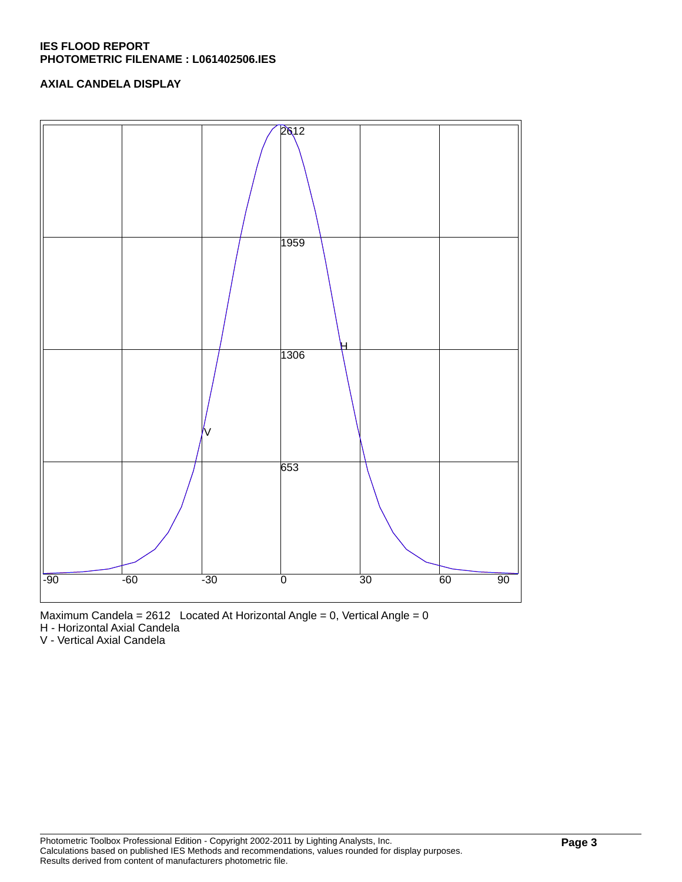# **IES FLOOD REPORT PHOTOMETRIC FILENAME : L061402506.IES**

# **AXIAL CANDELA DISPLAY**





H - Horizontal Axial Candela

V - Vertical Axial Candela